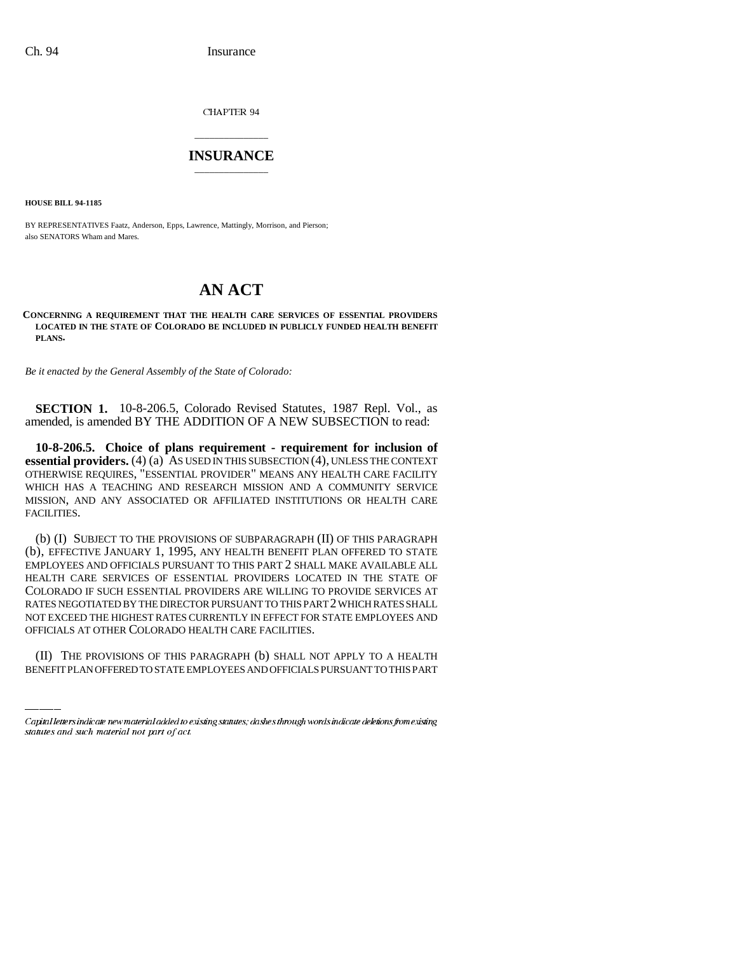CHAPTER 94

## \_\_\_\_\_\_\_\_\_\_\_\_\_\_\_ **INSURANCE** \_\_\_\_\_\_\_\_\_\_\_\_\_\_\_

**HOUSE BILL 94-1185**

BY REPRESENTATIVES Faatz, Anderson, Epps, Lawrence, Mattingly, Morrison, and Pierson; also SENATORS Wham and Mares.

## **AN ACT**

## **CONCERNING A REQUIREMENT THAT THE HEALTH CARE SERVICES OF ESSENTIAL PROVIDERS LOCATED IN THE STATE OF COLORADO BE INCLUDED IN PUBLICLY FUNDED HEALTH BENEFIT PLANS.**

*Be it enacted by the General Assembly of the State of Colorado:*

**SECTION 1.** 10-8-206.5, Colorado Revised Statutes, 1987 Repl. Vol., as amended, is amended BY THE ADDITION OF A NEW SUBSECTION to read:

**10-8-206.5. Choice of plans requirement - requirement for inclusion of essential providers.** (4) (a) AS USED IN THIS SUBSECTION (4), UNLESS THE CONTEXT OTHERWISE REQUIRES, "ESSENTIAL PROVIDER" MEANS ANY HEALTH CARE FACILITY WHICH HAS A TEACHING AND RESEARCH MISSION AND A COMMUNITY SERVICE MISSION, AND ANY ASSOCIATED OR AFFILIATED INSTITUTIONS OR HEALTH CARE FACILITIES.

NOT EXCEED THE HIGHEST RATES CURRENTLY IN EFFECT FOR STATE EMPLOYEES AND (b) (I) SUBJECT TO THE PROVISIONS OF SUBPARAGRAPH (II) OF THIS PARAGRAPH (b), EFFECTIVE JANUARY 1, 1995, ANY HEALTH BENEFIT PLAN OFFERED TO STATE EMPLOYEES AND OFFICIALS PURSUANT TO THIS PART 2 SHALL MAKE AVAILABLE ALL HEALTH CARE SERVICES OF ESSENTIAL PROVIDERS LOCATED IN THE STATE OF COLORADO IF SUCH ESSENTIAL PROVIDERS ARE WILLING TO PROVIDE SERVICES AT RATES NEGOTIATED BY THE DIRECTOR PURSUANT TO THIS PART 2 WHICH RATES SHALL OFFICIALS AT OTHER COLORADO HEALTH CARE FACILITIES.

(II) THE PROVISIONS OF THIS PARAGRAPH (b) SHALL NOT APPLY TO A HEALTH BENEFIT PLAN OFFERED TO STATE EMPLOYEES AND OFFICIALS PURSUANT TO THIS PART

Capital letters indicate new material added to existing statutes; dashes through words indicate deletions from existing statutes and such material not part of act.